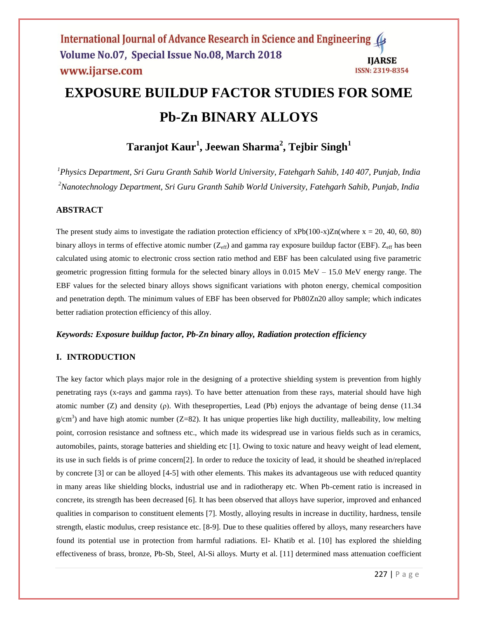# **EXPOSURE BUILDUP FACTOR STUDIES FOR SOME Pb-Zn BINARY ALLOYS**

# **Taranjot Kaur<sup>1</sup> , Jeewan Sharma<sup>2</sup> , Tejbir Singh<sup>1</sup>**

*<sup>1</sup>Physics Department, Sri Guru Granth Sahib World University, Fatehgarh Sahib, 140 407, Punjab, India <sup>2</sup>Nanotechnology Department, Sri Guru Granth Sahib World University, Fatehgarh Sahib, Punjab, India*

# **ABSTRACT**

The present study aims to investigate the radiation protection efficiency of  $xPb(100-x)Zn(where x = 20, 40, 60, 80)$ binary alloys in terms of effective atomic number  $(Z_{\text{eff}})$  and gamma ray exposure buildup factor (EBF).  $Z_{\text{eff}}$  has been calculated using atomic to electronic cross section ratio method and EBF has been calculated using five parametric geometric progression fitting formula for the selected binary alloys in 0.015 MeV – 15.0 MeV energy range. The EBF values for the selected binary alloys shows significant variations with photon energy, chemical composition and penetration depth. The minimum values of EBF has been observed for Pb80Zn20 alloy sample; which indicates better radiation protection efficiency of this alloy.

# *Keywords: Exposure buildup factor, Pb-Zn binary alloy, Radiation protection efficiency*

# **I. INTRODUCTION**

The key factor which plays major role in the designing of a protective shielding system is prevention from highly penetrating rays (x-rays and gamma rays). To have better attenuation from these rays, material should have high atomic number (Z) and density (ρ). With theseproperties, Lead (Pb) enjoys the advantage of being dense (11.34  $g/cm<sup>3</sup>$ ) and have high atomic number (Z=82). It has unique properties like high ductility, malleability, low melting point, corrosion resistance and softness etc., which made its widespread use in various fields such as in ceramics, automobiles, paints, storage batteries and shielding etc [1]. Owing to toxic nature and heavy weight of lead element, its use in such fields is of prime concern[2]. In order to reduce the toxicity of lead, it should be sheathed in/replaced by concrete [3] or can be alloyed [4-5] with other elements. This makes its advantageous use with reduced quantity in many areas like shielding blocks, industrial use and in radiotherapy etc. When Pb-cement ratio is increased in concrete, its strength has been decreased [6]. It has been observed that alloys have superior, improved and enhanced qualities in comparison to constituent elements [7]. Mostly, alloying results in increase in ductility, hardness, tensile strength, elastic modulus, creep resistance etc. [8-9]. Due to these qualities offered by alloys, many researchers have found its potential use in protection from harmful radiations. El- Khatib et al. [10] has explored the shielding effectiveness of brass, bronze, Pb-Sb, Steel, Al-Si alloys. Murty et al. [11] determined mass attenuation coefficient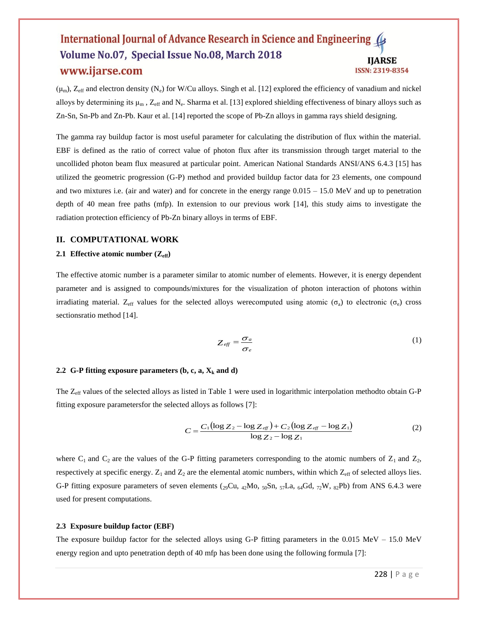$(\mu_m)$ , Z<sub>eff</sub> and electron density (N<sub>e</sub>) for W/Cu alloys. Singh et al. [12] explored the efficiency of vanadium and nickel alloys by determining its  $\mu_m$ ,  $Z_{\text{eff}}$  and  $N_e$ . Sharma et al. [13] explored shielding effectiveness of binary alloys such as Zn-Sn, Sn-Pb and Zn-Pb. Kaur et al. [14] reported the scope of Pb-Zn alloys in gamma rays shield designing.

The gamma ray buildup factor is most useful parameter for calculating the distribution of flux within the material. EBF is defined as the ratio of correct value of photon flux after its transmission through target material to the uncollided photon beam flux measured at particular point. American National Standards ANSI/ANS 6.4.3 [15] has utilized the geometric progression (G-P) method and provided buildup factor data for 23 elements, one compound and two mixtures i.e. (air and water) and for concrete in the energy range 0.015 – 15.0 MeV and up to penetration depth of 40 mean free paths (mfp). In extension to our previous work [14], this study aims to investigate the radiation protection efficiency of Pb-Zn binary alloys in terms of EBF.

#### **II. COMPUTATIONAL WORK**

#### **2.1 Effective atomic number**  $(Z_{\text{eff}})$

The effective atomic number is a parameter similar to atomic number of elements. However, it is energy dependent parameter and is assigned to compounds/mixtures for the visualization of photon interaction of photons within irradiating material. Z<sub>eff</sub> values for the selected alloys were computed using atomic ( $\sigma_a$ ) to electronic ( $\sigma_e$ ) cross sectionsratio method [14].

$$
Z_{\text{eff}} = \frac{\sigma_a}{\sigma_e} \tag{1}
$$

#### **2.2 G-P fitting exposure parameters**  $(b, c, a, X_k \text{ and } d)$

The  $Z_{\text{eff}}$  values of the selected alloys as listed in Table 1 were used in logarithmic interpolation methodto obtain G-P fitting exposure parametersfor the selected alloys as follows [7]:

$$
C = \frac{C_1(\log Z_2 - \log Z_{\text{eff}}) + C_2(\log Z_{\text{eff}} - \log Z_1)}{\log Z_2 - \log Z_1}
$$
(2)

where  $C_1$  and  $C_2$  are the values of the G-P fitting parameters corresponding to the atomic numbers of  $Z_1$  and  $Z_2$ , respectively at specific energy.  $Z_1$  and  $Z_2$  are the elemental atomic numbers, within which  $Z_{\text{eff}}$  of selected alloys lies. G-P fitting exposure parameters of seven elements ( $_{29}Cu$ ,  $_{42}Mo$ ,  $_{50}Sn$ ,  $_{57}La$ ,  $_{64}Gd$ ,  $_{72}W$ ,  $_{82}Pb$ ) from ANS 6.4.3 were used for present computations.

#### **2.3 Exposure buildup factor (EBF)**

The exposure buildup factor for the selected alloys using G-P fitting parameters in the 0.015 MeV – 15.0 MeV energy region and upto penetration depth of 40 mfp has been done using the following formula [7]: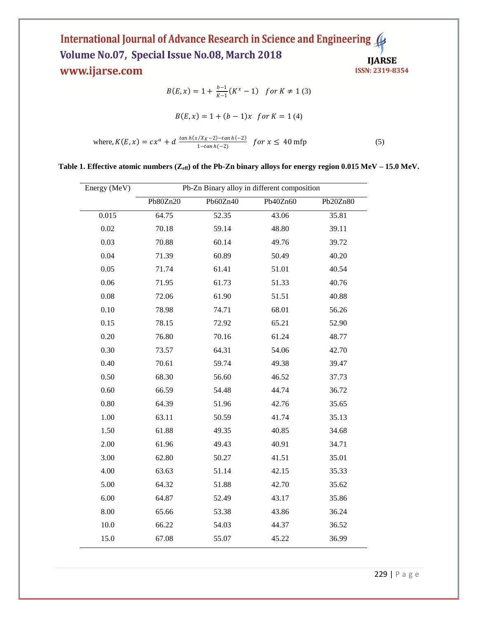$$
B(E, x) = 1 + \frac{b-1}{K-1}(K^x - 1) \quad \text{for } K \neq 1 \text{ (3)}
$$
\n
$$
B(E, x) = 1 + (b - 1)x \quad \text{for } K = 1 \text{ (4)}
$$
\n
$$
\text{where, } K(E, x) = cx^a + d \xrightarrow{\tan h(x/X_K - 2) - \tan h(-2)} \text{for } x \leq 40 \text{ mfp} \tag{5}
$$

**Table 1. Effective atomic numbers (Zeff) of the Pb-Zn binary alloys for energy region 0.015 MeV – 15.0 MeV.**

| Energy (MeV) | Pb-Zn Binary alloy in different composition |          |          |          |
|--------------|---------------------------------------------|----------|----------|----------|
|              | Pb80Zn20                                    | Pb60Zn40 | Pb40Zn60 | Pb20Zn80 |
| 0.015        | 64.75                                       | 52.35    | 43.06    | 35.81    |
| 0.02         | 70.18                                       | 59.14    | 48.80    | 39.11    |
| 0.03         | 70.88                                       | 60.14    | 49.76    | 39.72    |
| 0.04         | 71.39                                       | 60.89    | 50.49    | 40.20    |
| 0.05         | 71.74                                       | 61.41    | 51.01    | 40.54    |
| 0.06         | 71.95                                       | 61.73    | 51.33    | 40.76    |
| 0.08         | 72.06                                       | 61.90    | 51.51    | 40.88    |
| 0.10         | 78.98                                       | 74.71    | 68.01    | 56.26    |
| 0.15         | 78.15                                       | 72.92    | 65.21    | 52.90    |
| 0.20         | 76.80                                       | 70.16    | 61.24    | 48.77    |
| 0.30         | 73.57                                       | 64.31    | 54.06    | 42.70    |
| 0.40         | 70.61                                       | 59.74    | 49.38    | 39.47    |
| 0.50         | 68.30                                       | 56.60    | 46.52    | 37.73    |
| 0.60         | 66.59                                       | 54.48    | 44.74    | 36.72    |
| 0.80         | 64.39                                       | 51.96    | 42.76    | 35.65    |
| 1.00         | 63.11                                       | 50.59    | 41.74    | 35.13    |
| 1.50         | 61.88                                       | 49.35    | 40.85    | 34.68    |
| 2.00         | 61.96                                       | 49.43    | 40.91    | 34.71    |
| 3.00         | 62.80                                       | 50.27    | 41.51    | 35.01    |
| 4.00         | 63.63                                       | 51.14    | 42.15    | 35.33    |
| 5.00         | 64.32                                       | 51.88    | 42.70    | 35.62    |
| 6.00         | 64.87                                       | 52.49    | 43.17    | 35.86    |
| 8.00         | 65.66                                       | 53.38    | 43.86    | 36.24    |
| 10.0         | 66.22                                       | 54.03    | 44.37    | 36.52    |
| 15.0         | 67.08                                       | 55.07    | 45.22    | 36.99    |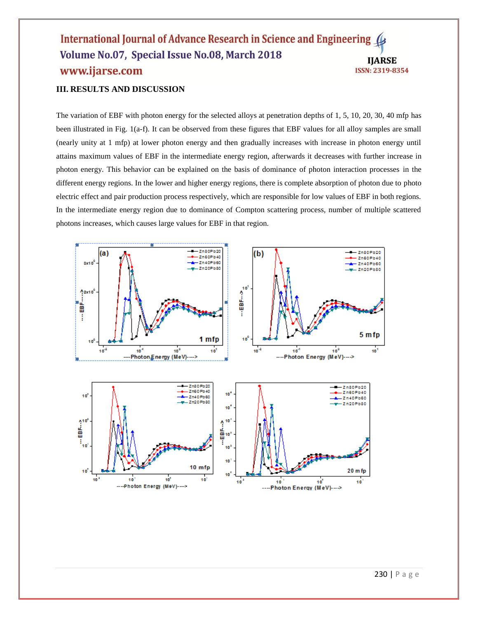# **III. RESULTS AND DISCUSSION**

The variation of EBF with photon energy for the selected alloys at penetration depths of 1, 5, 10, 20, 30, 40 mfp has been illustrated in Fig. 1(a-f). It can be observed from these figures that EBF values for all alloy samples are small (nearly unity at 1 mfp) at lower photon energy and then gradually increases with increase in photon energy until attains maximum values of EBF in the intermediate energy region, afterwards it decreases with further increase in photon energy. This behavior can be explained on the basis of dominance of photon interaction processes in the different energy regions. In the lower and higher energy regions, there is complete absorption of photon due to photo electric effect and pair production process respectively, which are responsible for low values of EBF in both regions. In the intermediate energy region due to dominance of Compton scattering process, number of multiple scattered photons increases, which causes large values for EBF in that region.

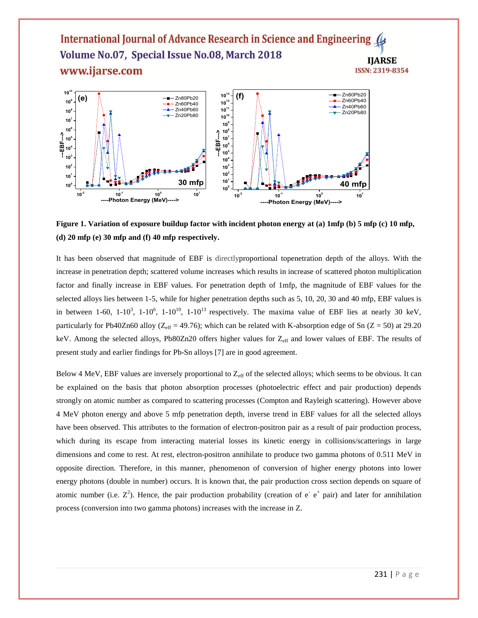

**Figure 1. Variation of exposure buildup factor with incident photon energy at (a) 1mfp (b) 5 mfp (c) 10 mfp, (d) 20 mfp (e) 30 mfp and (f) 40 mfp respectively.**

It has been observed that magnitude of EBF is directlyproportional topenetration depth of the alloys. With the increase in penetration depth; scattered volume increases which results in increase of scattered photon multiplication factor and finally increase in EBF values. For penetration depth of 1mfp, the magnitude of EBF values for the selected alloys lies between 1-5, while for higher penetration depths such as 5, 10, 20, 30 and 40 mfp, EBF values is in between 1-60, 1-10<sup>3</sup>, 1-10<sup>6</sup>, 1-10<sup>10</sup>, 1-10<sup>13</sup> respectively. The maxima value of EBF lies at nearly 30 keV, particularly for Pb40Zn60 alloy ( $Z_{\text{eff}}$  = 49.76); which can be related with K-absorption edge of Sn (Z = 50) at 29.20 keV. Among the selected alloys, Pb80Zn20 offers higher values for Z<sub>eff</sub> and lower values of EBF. The results of present study and earlier findings for Pb-Sn alloys [7] are in good agreement.

Below 4 MeV, EBF values are inversely proportional to  $Z_{\text{eff}}$  of the selected alloys; which seems to be obvious. It can be explained on the basis that photon absorption processes (photoelectric effect and pair production) depends strongly on atomic number as compared to scattering processes (Compton and Rayleigh scattering). However above 4 MeV photon energy and above 5 mfp penetration depth, inverse trend in EBF values for all the selected alloys have been observed. This attributes to the formation of electron-positron pair as a result of pair production process, which during its escape from interacting material losses its kinetic energy in collisions/scatterings in large dimensions and come to rest. At rest, electron-positron annihilate to produce two gamma photons of 0.511 MeV in opposite direction. Therefore, in this manner, phenomenon of conversion of higher energy photons into lower energy photons (double in number) occurs. It is known that, the pair production cross section depends on square of atomic number (i.e.  $Z^2$ ). Hence, the pair production probability (creation of  $e^-e^+$  pair) and later for annihilation process (conversion into two gamma photons) increases with the increase in Z.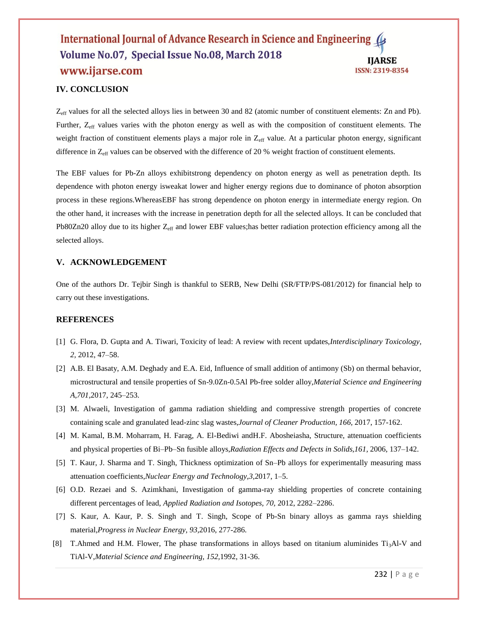# **IV. CONCLUSION**

 $Z_{\text{eff}}$  values for all the selected alloys lies in between 30 and 82 (atomic number of constituent elements: Zn and Pb). Further, Z<sub>eff</sub> values varies with the photon energy as well as with the composition of constituent elements. The weight fraction of constituent elements plays a major role in Z<sub>eff</sub> value. At a particular photon energy, significant difference in  $Z_{\text{eff}}$  values can be observed with the difference of 20 % weight fraction of constituent elements.

The EBF values for Pb-Zn alloys exhibitstrong dependency on photon energy as well as penetration depth. Its dependence with photon energy isweakat lower and higher energy regions due to dominance of photon absorption process in these regions.WhereasEBF has strong dependence on photon energy in intermediate energy region. On the other hand, it increases with the increase in penetration depth for all the selected alloys. It can be concluded that Pb80Zn20 alloy due to its higher  $Z_{\text{eff}}$  and lower EBF values;has better radiation protection efficiency among all the selected alloys.

# **V. ACKNOWLEDGEMENT**

One of the authors Dr. Tejbir Singh is thankful to SERB, New Delhi (SR/FTP/PS-081/2012) for financial help to carry out these investigations.

#### **REFERENCES**

- [1] G. Flora, D. Gupta and A. Tiwari, Toxicity of lead: A review with recent updates,*Interdisciplinary Toxicology, 2,* 2012, 47–58.
- [2] A.B. El Basaty, A.M. Deghady and E.A. Eid, Influence of small addition of antimony (Sb) on thermal behavior, microstructural and tensile properties of Sn-9.0Zn-0.5Al Pb-free solder alloy,*Material Science and Engineering A,701,*2017, 245–253.
- [3] [M. Alwaeli,](https://www.sciencedirect.com/science/article/pii/S095965261731658X#!) Investigation of gamma radiation shielding and compressive strength properties of concrete containing scale and granulated lead-zinc slag wastes,*Journal of [Cleaner Produ](https://www.sciencedirect.com/science/journal/09596526)ction[, 166,](https://www.sciencedirect.com/science/journal/09596526/166/supp/C)* 2017, 157-162.
- [4] M. Kamal, B.M. Moharram, H. Farag, A. El-Bediwi andH.F. Abosheiasha, Structure, attenuation coefficients and physical properties of Bi–Pb–Sn fusible alloys,*Radiation Effects and Defects in Solids,161,* 2006, 137–142.
- [5] T. Kaur, J. Sharma and T. Singh, Thickness optimization of Sn–Pb alloys for experimentally measuring mass attenuation coefficients,*Nuclear Energy and Technology,3,*2017, 1–5.
- [6] O.D. Rezaei and S. Azimkhani, Investigation of gamma-ray shielding properties of concrete containing different percentages of lead, *Applied Radiation and Isotopes, 70,* 2012, 2282–2286.
- [7] S. Kaur, A. Kaur, P. S. Singh and T. Singh, Scope of Pb-Sn binary alloys as gamma rays shielding material,*Progress in Nuclear Energy, 93,*2016, 277-286.
- [8] T.Ahmed and H.M. Flower, The phase transformations in alloys based on titanium aluminides  $Ti_3AI-V$  and TiAl-V,*Material Science and Engineering, 152,*1992, 31-36.